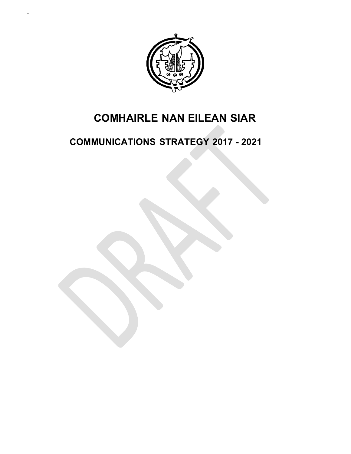

# **COMHAIRLE NAN EILEAN SIAR**

## **COMMUNICATIONS STRATEGY 2017 - 2021**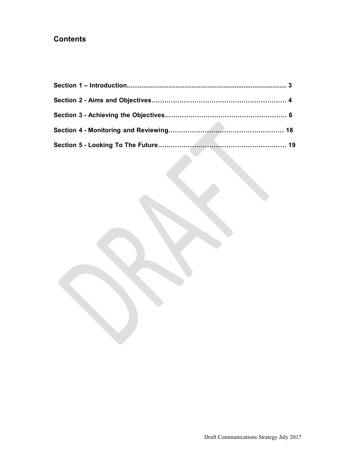## **Contents**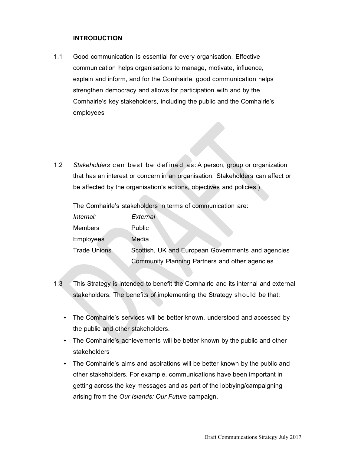#### **INTRODUCTION**

- 1.1 Good communication is essential for every organisation. Effective communication helps organisations to manage, motivate, influence, explain and inform, and for the Comhairle, good communication helps strengthen democracy and allows for participation with and by the Comhairle's key stakeholders, including the public and the Comhairle's employees
- 1.2 Stakeholders can best be defined as: A person, group or organization that has an interest or concern in an organisation. Stakeholders can affect or be affected by the organisation's actions, objectives and policies.)

The Comhairle's stakeholders in terms of communication are:

| Internal:           | External                                           |
|---------------------|----------------------------------------------------|
| Members             | <b>Public</b>                                      |
| <b>Employees</b>    | Media                                              |
| <b>Trade Unions</b> | Scottish, UK and European Governments and agencies |
|                     | Community Planning Partners and other agencies     |

- 1.3 This Strategy is intended to benefit the Comhairle and its internal and external stakeholders. The benefits of implementing the Strategy should be that:
	- The Comhairle's services will be better known, understood and accessed by the public and other stakeholders.
	- The Comhairle's achievements will be better known by the public and other stakeholders
	- The Comhairle's aims and aspirations will be better known by the public and other stakeholders. For example, communications have been important in getting across the key messages and as part of the lobbying/campaigning arising from the *Our Islands: Our Future* campaign.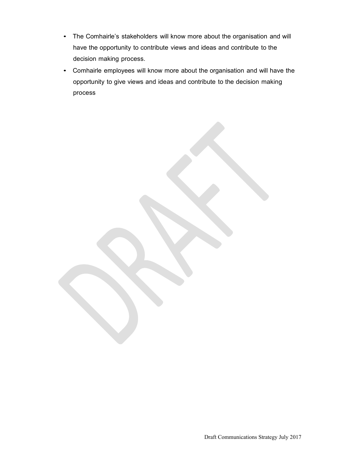- The Comhairle's stakeholders will know more about the organisation and will have the opportunity to contribute views and ideas and contribute to the decision making process.
- Comhairle employees will know more about the organisation and will have the opportunity to give views and ideas and contribute to the decision making process

Draft Communications Strategy July 2017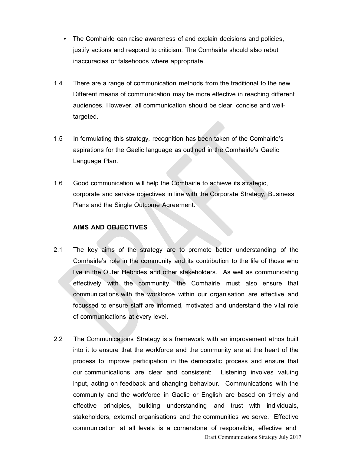- The Comhairle can raise awareness of and explain decisions and policies, justify actions and respond to criticism. The Comhairle should also rebut inaccuracies or falsehoods where appropriate.
- 1.4 There are a range of communication methods from the traditional to the new. Different means of communication may be more effective in reaching different audiences. However, all communication should be clear, concise and welltargeted.
- 1.5 In formulating this strategy, recognition has been taken of the Comhairle's aspirations for the Gaelic language as outlined in the Comhairle's Gaelic Language Plan.
- 1.6 Good communication will help the Comhairle to achieve its strategic, corporate and service objectives in line with the Corporate Strategy, Business Plans and the Single Outcome Agreement.

#### **AIMS AND OBJECTIVES**

- 2.1 The key aims of the strategy are to promote better understanding of the Comhairle's role in the community and its contribution to the life of those who live in the Outer Hebrides and other stakeholders. As well as communicating effectively with the community, the Comhairle must also ensure that communications with the workforce within our organisation are effective and focussed to ensure staff are informed, motivated and understand the vital role of communications at every level.
- Draft Communications Strategy July 2017 2.2 The Communications Strategy is a framework with an improvement ethos built into it to ensure that the workforce and the community are at the heart of the process to improve participation in the democratic process and ensure that our communications are clear and consistent: Listening involves valuing input, acting on feedback and changing behaviour. Communications with the community and the workforce in Gaelic or English are based on timely and effective principles, building understanding and trust with individuals, stakeholders, external organisations and the communities we serve. Effective communication at all levels is a cornerstone of responsible, effective and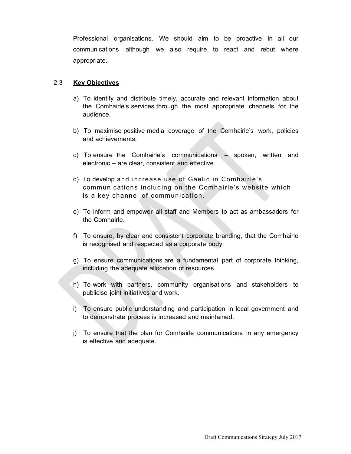Professional organisations. We should aim to be proactive in all our communications although we also require to react and rebut where appropriate.

#### 2.3 **Key Objectives**

- a) To identify and distribute timely, accurate and relevant information about the Comhairle's services through the most appropriate channels for the audience.
- b) To maximise positive media coverage of the Comhairle's work, policies and achievements.
- c) To ensure the Comhairle's communications spoken, written and electronic – are clear, consistent and effective.
- d) To develop and increase use of Gaelic in Comhairle's communications including on the Comhairle's website which is a key channel of communication .
- e) To inform and empower all staff and Members to act as ambassadors for the Comhairle.
- f) To ensure, by clear and consistent corporate branding, that the Comhairle is recognised and respected as a corporate body.
- g) To ensure communications are a fundamental part of corporate thinking, including the adequate allocation of resources.
- h) To work with partners, community organisations and stakeholders to publicise joint initiatives and work.
- i) To ensure public understanding and participation in local government and to demonstrate process is increased and maintained.
- j) To ensure that the plan for Comhairle communications in any emergency is effective and adequate.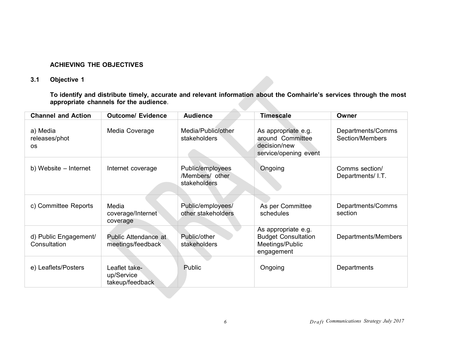#### **ACHIEVING THE OBJECTIVES**

#### **3.1 Objective 1**

To identify and distribute timely, accurate and relevant information about the Comhairle's services through the most **appropriate channels for the audience**.  $\overline{\phantom{a}}$ 

| <b>Channel and Action</b>              | <b>Outcome/ Evidence</b>                       | <b>Audience</b>                                     | <b>Timescale</b>                                                                   | Owner                                |
|----------------------------------------|------------------------------------------------|-----------------------------------------------------|------------------------------------------------------------------------------------|--------------------------------------|
| a) Media<br>releases/phot<br><b>OS</b> | Media Coverage                                 | Media/Public/other<br>stakeholders                  | As appropriate e.g.<br>around Committee<br>decision/new<br>service/opening event   | Departments/Comms<br>Section/Members |
| b) Website - Internet                  | Internet coverage                              | Public/employees<br>/Members/ other<br>stakeholders | Ongoing                                                                            | Comms section/<br>Departments/ I.T.  |
| c) Committee Reports                   | Media<br>coverage/Internet<br>coverage         | Public/employees/<br>other stakeholders             | As per Committee<br>schedules                                                      | Departments/Comms<br>section         |
| d) Public Engagement/<br>Consultation  | Public Attendance at<br>meetings/feedback      | Public/other<br>stakeholders                        | As appropriate e.g.<br><b>Budget Consultation</b><br>Meetings/Public<br>engagement | Departments/Members                  |
| e) Leaflets/Posters                    | Leaflet take-<br>up/Service<br>takeup/feedback | Public                                              | Ongoing                                                                            | Departments                          |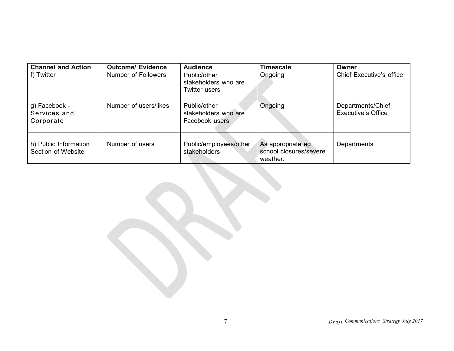| <b>Channel and Action</b>                   | <b>Outcome/ Evidence</b>   | <b>Audience</b>                                              | <b>Timescale</b>                                        | Owner                                          |
|---------------------------------------------|----------------------------|--------------------------------------------------------------|---------------------------------------------------------|------------------------------------------------|
| f) Twitter                                  | <b>Number of Followers</b> | Public/other<br>stakeholders who are<br><b>Twitter users</b> | Ongoing                                                 | Chief Executive's office                       |
| g) Facebook -<br>Services and<br>Corporate  | Number of users/likes      | Public/other<br>stakeholders who are<br>Facebook users       | Ongoing                                                 | Departments/Chief<br><b>Executive's Office</b> |
| h) Public Information<br>Section of Website | Number of users            | Public/employees/other<br>stakeholders                       | As appropriate eg<br>school closures/severe<br>weather. | Departments                                    |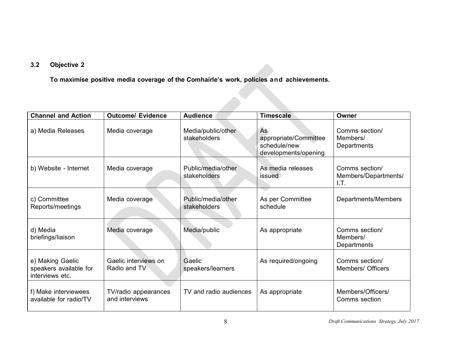## **3.2 Objective 2**

**To maximise positive media coverage of the Comhairle's work, policies and achievements.**

| <b>Channel and Action</b>                                     | <b>Outcome/ Evidence</b>               | <b>Audience</b>                    | <b>Timescale</b>                                                           | Owner                                          |
|---------------------------------------------------------------|----------------------------------------|------------------------------------|----------------------------------------------------------------------------|------------------------------------------------|
| a) Media Releases                                             | Media coverage                         | Media/public/other<br>stakeholders | <b>As</b><br>appropriate/Committee<br>schedule/new<br>developments/opening | Comms section/<br>Members/<br>Departments      |
| b) Website - Internet                                         | Media coverage                         | Public/media/other<br>stakeholders | As media releases<br>issued                                                | Comms section/<br>Members/Departments/<br>I.T. |
| c) Committee<br>Reports/meetings                              | Media coverage                         | Public/media/other<br>stakeholders | As per Committee<br>schedule                                               | Departments/Members                            |
| d) Media<br>briefings/liaison                                 | Media coverage                         | Media/public                       | As appropriate                                                             | Comms section/<br>Members/<br>Departments      |
| e) Making Gaelic<br>speakers available for<br>interviews etc. | Gaelic interviews on<br>Radio and TV   | Gaelic<br>speakers/learners        | As required/ongoing                                                        | Comms section/<br><b>Members/ Officers</b>     |
| f) Make interviewees<br>available for radio/TV                | TV/radio appearances<br>and interviews | TV and radio audiences             | As appropriate                                                             | Members/Officers/<br>Comms section             |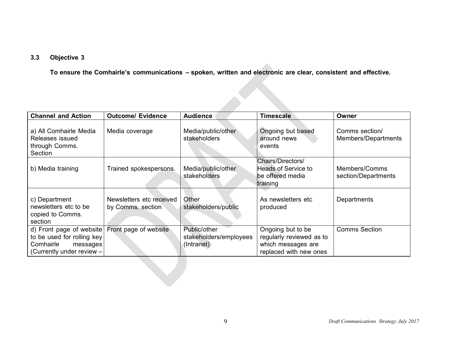## **3.3 Objective 3**

To ensure the Comhairle's communications - spoken, written and electronic are clear, consistent and effective.

| <b>Channel and Action</b>                                                                                                            | <b>Outcome/ Evidence</b>                      | <b>Audience</b>                                      | <b>Timescale</b>                                                                              | Owner                                 |
|--------------------------------------------------------------------------------------------------------------------------------------|-----------------------------------------------|------------------------------------------------------|-----------------------------------------------------------------------------------------------|---------------------------------------|
| a) All Comhairle Media<br>Releases issued<br>through Comms.<br>Section                                                               | Media coverage                                | Media/public/other<br>stakeholders                   | Ongoing but based<br>around news<br>events                                                    | Comms section/<br>Members/Departments |
| b) Media training                                                                                                                    | Trained spokespersons.                        | Media/public/other<br>stakeholders                   | Chairs/Directors/<br>Heads of Service to<br>be offered media<br>training                      | Members/Comms<br>section/Departments  |
| c) Department<br>newsletters etc to be<br>copied to Comms.<br>section                                                                | Newsletters etc received<br>by Comms. section | Other<br>stakeholders/public                         | As newsletters etc<br>produced                                                                | Departments                           |
| d) Front page of website   Front page of website<br>to be used for rolling key<br>Comhairle<br>messages<br>(Currently under review - |                                               | Public/other<br>stakeholders/employees<br>(Intranet) | Ongoing but to be<br>regularly reviewed as to<br>which messages are<br>replaced with new ones | <b>Comms Section</b>                  |
|                                                                                                                                      |                                               |                                                      |                                                                                               |                                       |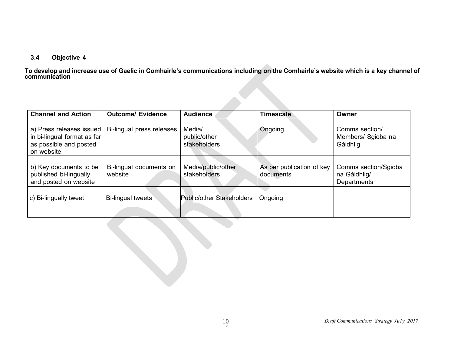#### **3.4 Objective 4**

**To develop and increase use of Gaelic in Comhairle's communications including on the Comhairle's website which is a key channel of communication** 

| <b>Channel and Action</b>                                                                         | <b>Outcome/ Evidence</b>           | <b>Audience</b>                        | <b>Timescale</b>                       | Owner                                               |
|---------------------------------------------------------------------------------------------------|------------------------------------|----------------------------------------|----------------------------------------|-----------------------------------------------------|
| a) Press releases issued  <br>in bi-lingual format as far<br>as possible and posted<br>on website | Bi-lingual press releases          | Media/<br>public/other<br>stakeholders | Ongoing                                | Comms section/<br>Members/ Sgioba na<br>Gàidhlig    |
| b) Key documents to be<br>published bi-lingually<br>and posted on website                         | Bi-lingual documents on<br>website | Media/public/other<br>stakeholders     | As per publication of key<br>documents | Comms section/Sgioba<br>na Gàidhlig/<br>Departments |
| c) Bi-lingually tweet                                                                             | Bi-lingual tweets                  | Public/other Stakeholders              | Ongoing                                |                                                     |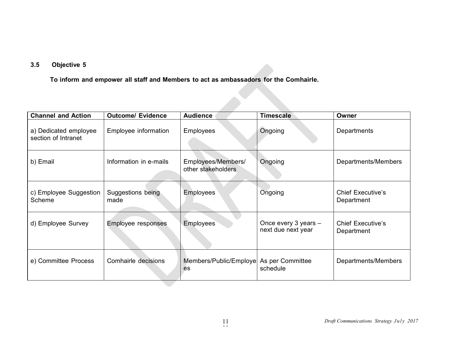## **3.5 Objective 5**

**To inform and empower all staff and Members to act as ambassadors for the Comhairle.**

| <b>Channel and Action</b>                    | <b>Outcome/ Evidence</b>  | <b>Audience</b>                               | <b>Timescale</b>                           | Owner                                  |
|----------------------------------------------|---------------------------|-----------------------------------------------|--------------------------------------------|----------------------------------------|
| a) Dedicated employee<br>section of Intranet | Employee information      | <b>Employees</b>                              | Ongoing                                    | Departments                            |
| b) Email                                     | Information in e-mails    | Employees/Members/<br>other stakeholders      | Ongoing                                    | Departments/Members                    |
| c) Employee Suggestion<br>Scheme             | Suggestions being<br>made | <b>Employees</b>                              | Ongoing                                    | <b>Chief Executive's</b><br>Department |
| d) Employee Survey                           | Employee responses        | <b>Employees</b>                              | Once every 3 years -<br>next due next year | <b>Chief Executive's</b><br>Department |
| e) Committee Process                         | Comhairle decisions       | Members/Public/Employe As per Committee<br>es | schedule                                   | Departments/Members                    |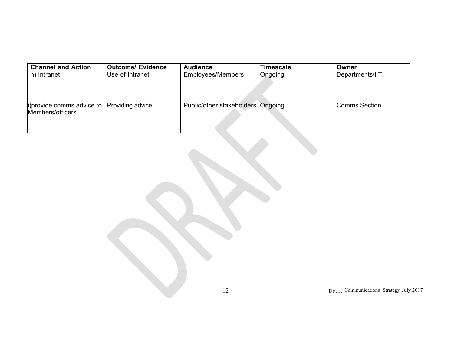| <b>Channel and Action</b>                                                    | <b>Outcome/ Evidence</b> | <b>Audience</b>                   | <b>Timescale</b> | Owner                |
|------------------------------------------------------------------------------|--------------------------|-----------------------------------|------------------|----------------------|
| h) Intranet                                                                  | Use of Intranet          | <b>Employees/Members</b>          | Ongoing          | Departments/I.T.     |
| $ i\rangle$ provide comms advice to $ $ Providing advice<br>Members/officers |                          | Public/other stakeholders Ongoing |                  | <b>Comms Section</b> |

12 Draft Communications Strategy July 2017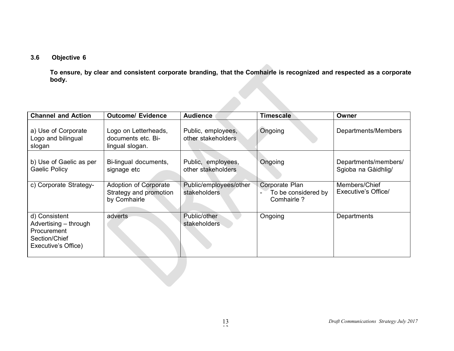## **3.6 Objective 6**

To ensure, by clear and consistent corporate branding, that the Comhairle is recognized and respected as a corporate **body.**

| <b>Channel and Action</b>                                                                     | <b>Outcome/ Evidence</b>                                               | <b>Audience</b>                          | <b>Timescale</b>                                     | Owner                                       |
|-----------------------------------------------------------------------------------------------|------------------------------------------------------------------------|------------------------------------------|------------------------------------------------------|---------------------------------------------|
| a) Use of Corporate<br>Logo and bilingual<br>slogan                                           | Logo on Letterheads,<br>documents etc. Bi-<br>lingual slogan.          | Public, employees,<br>other stakeholders | Ongoing                                              | Departments/Members                         |
| b) Use of Gaelic as per<br><b>Gaelic Policy</b>                                               | Bi-lingual documents,<br>signage etc                                   | Public, employees,<br>other stakeholders | Ongoing                                              | Departments/members/<br>Sgioba na Gàidhlig/ |
| c) Corporate Strategy-                                                                        | <b>Adoption of Corporate</b><br>Strategy and promotion<br>by Comhairle | Public/employees/other<br>stakeholders   | Corporate Plan<br>To be considered by<br>Comhairle ? | Members/Chief<br>Executive's Office/        |
| d) Consistent<br>Advertising – through<br>Procurement<br>Section/Chief<br>Executive's Office) | adverts                                                                | Public/other<br>stakeholders             | Ongoing                                              | Departments                                 |
|                                                                                               |                                                                        |                                          |                                                      |                                             |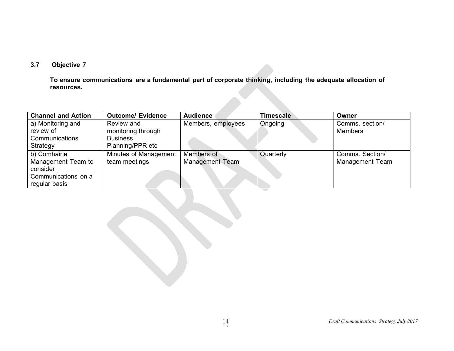## **3.7 Objective 7**

**To ensure communications are a fundamental part of corporate thinking, including the adequate allocation of resources.**

| <b>Channel and Action</b> | <b>Outcome/ Evidence</b> | <b>Audience</b>        | <b>Timescale</b> | Owner           |
|---------------------------|--------------------------|------------------------|------------------|-----------------|
| a) Monitoring and         | Review and               | Members, employees     | Ongoing          | Comms. section/ |
| review of                 | monitoring through       |                        |                  | <b>Members</b>  |
| Communications            | <b>Business</b>          |                        |                  |                 |
| Strategy                  | Planning/PPR etc         |                        |                  |                 |
| b) Comhairle              | Minutes of Management    | Members of             | Quarterly        | Comms. Section/ |
| Management Team to        | team meetings            | <b>Management Team</b> |                  | Management Team |
| consider                  |                          |                        |                  |                 |
| Communications on a       |                          |                        |                  |                 |
| regular basis             |                          |                        |                  |                 |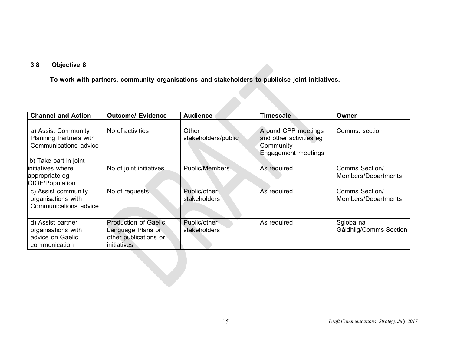## **3.8 Objective 8**

**To work with partners, community organisations and stakeholders to publicise joint initiatives.**

| <b>Channel and Action</b>                                                       | <b>Outcome/ Evidence</b>                                                                        | <b>Audience</b>              | <b>Timescale</b>                                                                          | Owner                                 |
|---------------------------------------------------------------------------------|-------------------------------------------------------------------------------------------------|------------------------------|-------------------------------------------------------------------------------------------|---------------------------------------|
| a) Assist Community<br><b>Planning Partners with</b><br>Communications advice   | No of activities                                                                                | Other<br>stakeholders/public | Around CPP meetings<br>and other activities eg<br>Community<br><b>Engagement meetings</b> | Comms. section                        |
| b) Take part in joint<br>initiatives where<br>appropriate eg<br>OIOF/Population | No of joint initiatives                                                                         | <b>Public/Members</b>        | As required                                                                               | Comms Section/<br>Members/Departments |
| c) Assist community<br>organisations with<br>Communications advice              | No of requests                                                                                  | Public/other<br>stakeholders | As required                                                                               | Comms Section/<br>Members/Departments |
| d) Assist partner<br>organisations with<br>advice on Gaelic<br>communication    | <b>Production of Gaelic</b><br>Language Plans or<br>other publications or<br><i>initiatives</i> | Public/other<br>stakeholders | As required                                                                               | Sgioba na<br>Gàidhlig/Comms Section   |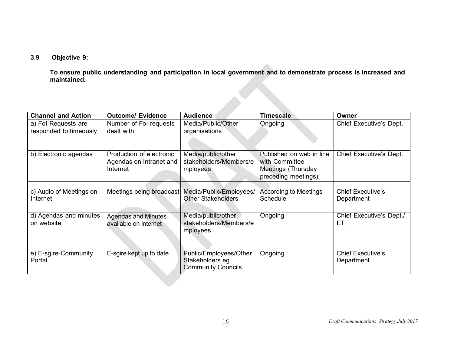## **3.9 Objective 9:**

To ensure public understanding and participation in local government and to demonstrate process is increased and **maintained.**

| <b>Channel and Action</b>                     | <b>Outcome/ Evidence</b>                                        | <b>Audience</b>                                                        | <b>Timescale</b>                                                                        | Owner                                  |
|-----------------------------------------------|-----------------------------------------------------------------|------------------------------------------------------------------------|-----------------------------------------------------------------------------------------|----------------------------------------|
| a) Fol Requests are<br>responded to timeously | Number of Fol requests<br>dealt with                            | Media/Public/Other<br>organisations                                    | Ongoing                                                                                 | <b>Chief Executive's Dept.</b>         |
| b) Electronic agendas                         | Production of electronic<br>Agendas on Intranet and<br>Internet | Media/public/other<br>stakeholders/Members/e<br>mployees               | Published on web in line<br>with Committee<br>Meetings (Thursday<br>preceding meetings) | Chief Executive's Dept.                |
| c) Audio of Meetings on<br>Internet           | Meetings being broadcast                                        | Media/Public/Employees/<br><b>Other Stakeholders</b>                   | <b>According to Meetings</b><br>Schedule                                                | <b>Chief Executive's</b><br>Department |
| d) Agendas and minutes<br>on website          | <b>Agendas and Minutes</b><br>available on internet             | Media/public/other<br>stakeholders/Members/e<br>mployees               | Ongoing                                                                                 | Chief Executive's Dept./<br>I.T.       |
| e) E-sgire-Community<br>Portal                | E-sgire kept up to date                                         | Public/Employees/Other<br>Stakeholders eg<br><b>Community Councils</b> | Ongoing                                                                                 | Chief Executive's<br>Department        |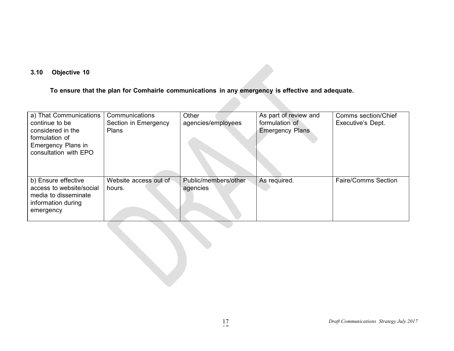## **3.10 Objective 10**

## **To ensure that the plan for Comhairle communications in any emergency is effective and adequate.**

| a) That Communications  <br>continue to be<br>considered in the<br>formulation of<br>Emergency Plans in<br>consultation with EPO | Communications<br>Section in Emergency<br><b>Plans</b> | Other<br>agencies/employees      | As part of review and<br>formulation of<br><b>Emergency Plans</b> | Comms section/Chief<br>Executive's Dept. |
|----------------------------------------------------------------------------------------------------------------------------------|--------------------------------------------------------|----------------------------------|-------------------------------------------------------------------|------------------------------------------|
| b) Ensure effective<br>access to website/social<br>media to disseminate<br>information during<br>emergency                       | Website access out of<br>hours.                        | Public/members/other<br>agencies | As required.                                                      | <b>Faire/Comms Section</b>               |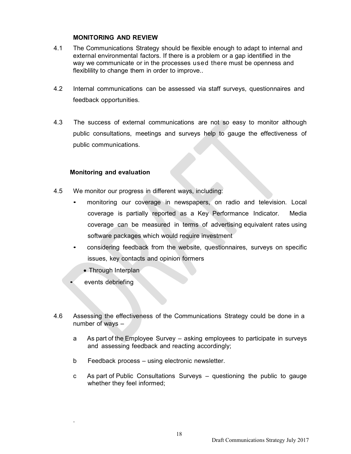#### **MONITORING AND REVIEW**

- 4.1 The Communications Strategy should be flexible enough to adapt to internal and external environmental factors. If there is a problem or a gap identified in the way we communicate or in the processes used there must be openness and flexiblility to change them in order to improve..
- 4.2 Internal communications can be assessed via staff surveys, questionnaires and feedback opportunities.
- 4.3 The success of external communications are not so easy to monitor although public consultations, meetings and surveys help to gauge the effectiveness of public communications.

#### **Monitoring and evaluation**

- 4.5 We monitor our progress in different ways, including:
	- monitoring our coverage in newspapers, on radio and television. Local coverage is partially reported as a Key Performance Indicator. Media coverage can be measured in terms of advertising equivalent rates using software packages which would require investment
	- considering feedback from the website, questionnaires, surveys on specific issues, key contacts and opinion formers
		- Through Interplan
	- events debriefing

.

- 4.6 Assessing the effectiveness of the Communications Strategy could be done in a number of ways –
	- a As part of the Employee Survey asking employees to participate in surveys and assessing feedback and reacting accordingly;
	- b Feedback process using electronic newsletter.
	- c As part of Public Consultations Surveys questioning the public to gauge whether they feel informed;